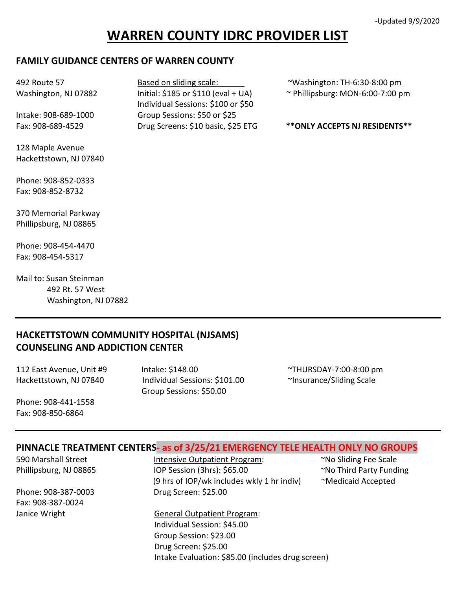# **WARREN COUNTY IDRC PROVIDER LIST**

Individual Sessions: \$100 or \$50

#### **FAMILY GUIDANCE CENTERS OF WARREN COUNTY**

| 492 Route 57         |  |
|----------------------|--|
| Washington, NJ 07882 |  |

Intake: 908-689-1000 Group Sessions: \$50 or \$25

128 Maple Avenue Hackettstown, NJ 07840

Phone: 908-852-0333 Fax: 908-852-8732

370 Memorial Parkway Phillipsburg, NJ 08865

Phone: 908-454-4470 Fax: 908-454-5317

Mail to: Susan Steinman 492 Rt. 57 West Washington, NJ 07882

### **HACKETTSTOWN COMMUNITY HOSPITAL (NJSAMS) COUNSELING AND ADDICTION CENTER**

112 East Avenue, Unit #9 Intake: \$148.00 ~THURSDAY-7:00-8:00 pm Hackettstown, NJ 07840 Individual Sessions: \$101.00 <sup>~</sup>Insurance/Sliding Scale Group Sessions: \$50.00

Phone: 908-441-1558 Fax: 908-850-6864

#### **PINNACLE TREATMENT CENTERS- as of 3/25/21 EMERGENCY TELE HEALTH ONLY NO GROUPS**

Fax: 908-387-0024

590 Marshall Street **Intensive Outpatient Program:** The Sliding Fee Scale Phillipsburg, NJ 08865 IOP Session (3hrs): \$65.00 No Third Party Funding (9 hrs of IOP/wk includes wkly 1 hr indiv)  $\sim$ Medicaid Accepted Phone: 908-387-0003 Drug Screen: \$25.00

Janice Wright **General Outpatient Program:**  Individual Session: \$45.00 Group Session: \$23.00 Drug Screen: \$25.00 Intake Evaluation: \$85.00 (includes drug screen)

Based on sliding scale:  $\sim$  Washington: TH-6:30-8:00 pm

Initial: \$185 or \$110 (eval + UA)  $\sim$  Phillipsburg: MON-6:00-7:00 pm

Fax: 908-689-4529 **Drug Screens: \$10 basic, \$25 ETG** \*\* ONLY ACCEPTS NJ RESIDENTS\*\*